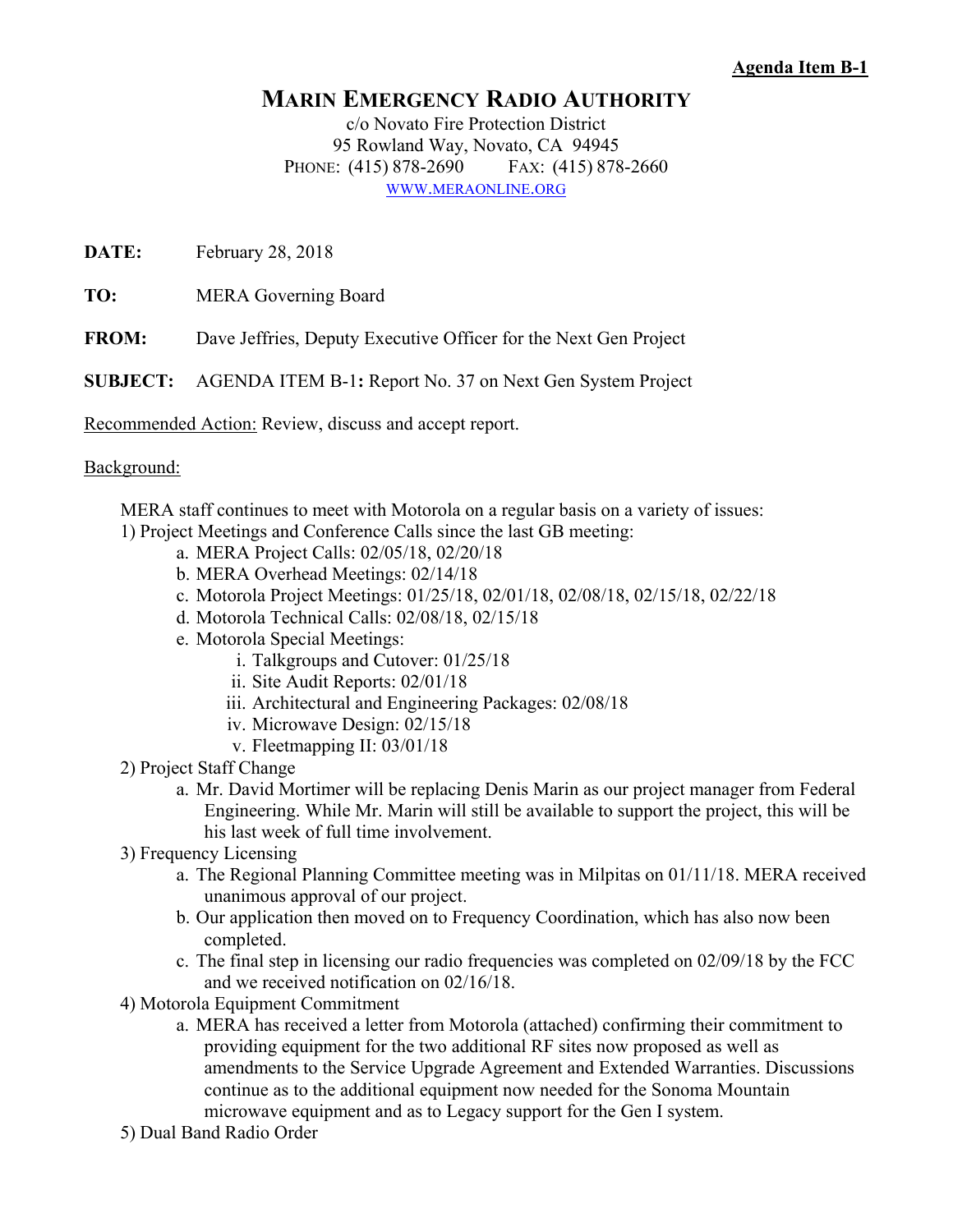## **Agenda Item B-1**

## **MARIN EMERGENCY RADIO AUTHORITY**

c/o Novato Fire Protection District 95 Rowland Way, Novato, CA 94945 PHONE: (415) 878-2690 FAX: (415) 878-2660 WWW.MERAONLINE.ORG

**DATE:** February 28, 2018

**TO:** MERA Governing Board

**FROM:** Dave Jeffries, Deputy Executive Officer for the Next Gen Project

**SUBJECT:** AGENDA ITEM B-1**:** Report No. 37 on Next Gen System Project

Recommended Action: Review, discuss and accept report.

## Background:

 MERA staff continues to meet with Motorola on a regular basis on a variety of issues: 1) Project Meetings and Conference Calls since the last GB meeting:

- a. MERA Project Calls: 02/05/18, 02/20/18
- b. MERA Overhead Meetings: 02/14/18
- c. Motorola Project Meetings: 01/25/18, 02/01/18, 02/08/18, 02/15/18, 02/22/18
- d. Motorola Technical Calls: 02/08/18, 02/15/18
- e. Motorola Special Meetings:
	- i. Talkgroups and Cutover: 01/25/18
	- ii. Site Audit Reports: 02/01/18
	- iii. Architectural and Engineering Packages: 02/08/18
	- iv. Microwave Design: 02/15/18
	- v. Fleetmapping II: 03/01/18
- 2) Project Staff Change
	- a. Mr. David Mortimer will be replacing Denis Marin as our project manager from Federal Engineering. While Mr. Marin will still be available to support the project, this will be his last week of full time involvement.
- 3) Frequency Licensing
	- a. The Regional Planning Committee meeting was in Milpitas on 01/11/18. MERA received unanimous approval of our project.
	- b. Our application then moved on to Frequency Coordination, which has also now been completed.
	- c. The final step in licensing our radio frequencies was completed on 02/09/18 by the FCC and we received notification on 02/16/18.
- 4) Motorola Equipment Commitment
	- a. MERA has received a letter from Motorola (attached) confirming their commitment to providing equipment for the two additional RF sites now proposed as well as amendments to the Service Upgrade Agreement and Extended Warranties. Discussions continue as to the additional equipment now needed for the Sonoma Mountain microwave equipment and as to Legacy support for the Gen I system.
- 5) Dual Band Radio Order